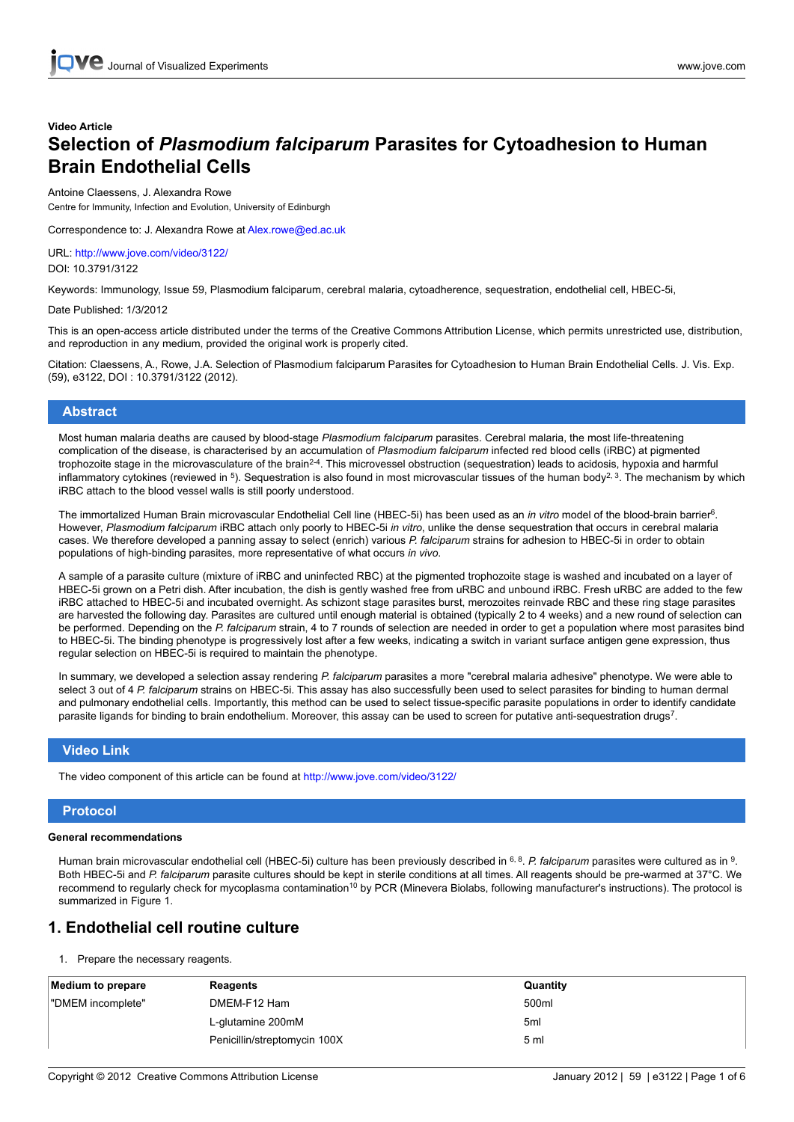# **Video Article Selection of** *Plasmodium falciparum* **Parasites for Cytoadhesion to Human Brain Endothelial Cells**

#### Antoine Claessens, J. Alexandra Rowe

Centre for Immunity, Infection and Evolution, University of Edinburgh

Correspondence to: J. Alexandra Rowe at Alex.rowe@ed.ac.uk

URL: <http://www.jove.com/video/3122/> DOI: 10.3791/3122

Keywords: Immunology, Issue 59, Plasmodium falciparum, cerebral malaria, cytoadherence, sequestration, endothelial cell, HBEC-5i,

Date Published: 1/3/2012

This is an open-access article distributed under the terms of the Creative Commons Attribution License, which permits unrestricted use, distribution, and reproduction in any medium, provided the original work is properly cited.

Citation: Claessens, A., Rowe, J.A. Selection of Plasmodium falciparum Parasites for Cytoadhesion to Human Brain Endothelial Cells. J. Vis. Exp. (59), e3122, DOI : 10.3791/3122 (2012).

#### **Abstract**

Most human malaria deaths are caused by blood-stage *Plasmodium falciparum* parasites. Cerebral malaria, the most life-threatening complication of the disease, is characterised by an accumulation of *Plasmodium falciparum* infected red blood cells (iRBC) at pigmented trophozoite stage in the microvasculature of the brain<sup>2-4</sup>. This microvessel obstruction (sequestration) leads to acidosis, hypoxia and harmful inflammatory cytokines (reviewed in <sup>5</sup>). Sequestration is also found in most microvascular tissues of the human body<sup>2, 3</sup>. The mechanism by which iRBC attach to the blood vessel walls is still poorly understood.

The immortalized Human Brain microvascular Endothelial Cell line (HBEC-5i) has been used as an *in vitro* model of the blood-brain barrier<sup>6</sup> . However, *Plasmodium falciparum* iRBC attach only poorly to HBEC-5i *in vitro*, unlike the dense sequestration that occurs in cerebral malaria cases. We therefore developed a panning assay to select (enrich) various *P. falciparum* strains for adhesion to HBEC-5i in order to obtain populations of high-binding parasites, more representative of what occurs *in vivo*.

A sample of a parasite culture (mixture of iRBC and uninfected RBC) at the pigmented trophozoite stage is washed and incubated on a layer of HBEC-5i grown on a Petri dish. After incubation, the dish is gently washed free from uRBC and unbound iRBC. Fresh uRBC are added to the few iRBC attached to HBEC-5i and incubated overnight. As schizont stage parasites burst, merozoites reinvade RBC and these ring stage parasites are harvested the following day. Parasites are cultured until enough material is obtained (typically 2 to 4 weeks) and a new round of selection can be performed. Depending on the *P. falciparum* strain, 4 to 7 rounds of selection are needed in order to get a population where most parasites bind to HBEC-5i. The binding phenotype is progressively lost after a few weeks, indicating a switch in variant surface antigen gene expression, thus regular selection on HBEC-5i is required to maintain the phenotype.

In summary, we developed a selection assay rendering *P. falciparum* parasites a more "cerebral malaria adhesive" phenotype. We were able to select 3 out of 4 *P. falciparum* strains on HBEC-5i. This assay has also successfully been used to select parasites for binding to human dermal and pulmonary endothelial cells. Importantly, this method can be used to select tissue-specific parasite populations in order to identify candidate parasite ligands for binding to brain endothelium. Moreover, this assay can be used to screen for putative anti-sequestration drugs<sup>7</sup>.

### **Video Link**

The video component of this article can be found at <http://www.jove.com/video/3122/>

### **Protocol**

### **General recommendations**

Human brain microvascular endothelial cell (HBEC-5i) culture has been previously described in <sup>6, 8</sup>. P. falciparum parasites were cultured as in <sup>9</sup>. Both HBEC-5i and *P. falciparum* parasite cultures should be kept in sterile conditions at all times. All reagents should be pre-warmed at 37°C. We recommend to regularly check for mycoplasma contamination<sup>10</sup> by PCR (Minevera Biolabs, following manufacturer's instructions). The protocol is summarized in Figure 1.

### **1. Endothelial cell routine culture**

1. Prepare the necessary reagents.

| <b>Medium to prepare</b> | Reagents                     | Quantity        |
|--------------------------|------------------------------|-----------------|
| "DMEM incomplete"        | DMEM-F12 Ham                 | 500ml           |
|                          | L-glutamine 200mM            | 5 <sub>ml</sub> |
|                          | Penicillin/streptomycin 100X | 5 <sub>m</sub>  |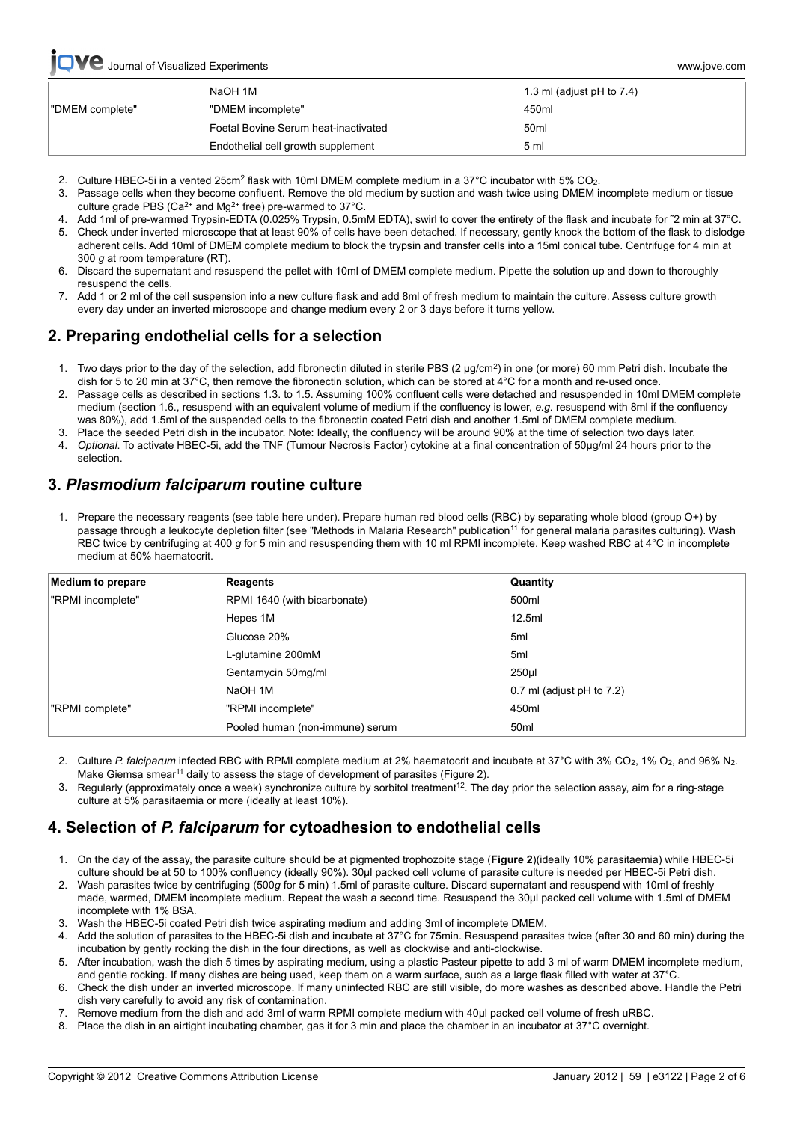## **Ve** [Journal of Visualized Experiments www.jove.com](http://www.jove.com)

|                 | NaOH 1M                              | 1.3 ml (adjust $pH$ to 7.4) |
|-----------------|--------------------------------------|-----------------------------|
| "DMEM complete" | "DMEM incomplete"                    | 450ml                       |
|                 | Foetal Bovine Serum heat-inactivated | 50 <sub>ml</sub>            |
|                 | Endothelial cell growth supplement   | 5 ml                        |

- 2. Culture HBEC-5i in a vented 25cm<sup>2</sup> flask with 10ml DMEM complete medium in a 37°C incubator with 5% CO<sub>2</sub>.
- 3. Passage cells when they become confluent. Remove the old medium by suction and wash twice using DMEM incomplete medium or tissue culture grade PBS (Ca<sup>2+</sup> and Mg<sup>2+</sup> free) pre-warmed to 37°C.
- 4. Add 1ml of pre-warmed Trypsin-EDTA (0.025% Trypsin, 0.5mM EDTA), swirl to cover the entirety of the flask and incubate for ˜2 min at 37°C.
- 5. Check under inverted microscope that at least 90% of cells have been detached. If necessary, gently knock the bottom of the flask to dislodge adherent cells. Add 10ml of DMEM complete medium to block the trypsin and transfer cells into a 15ml conical tube. Centrifuge for 4 min at 300 *g* at room temperature (RT).
- 6. Discard the supernatant and resuspend the pellet with 10ml of DMEM complete medium. Pipette the solution up and down to thoroughly resuspend the cells.
- 7. Add 1 or 2 ml of the cell suspension into a new culture flask and add 8ml of fresh medium to maintain the culture. Assess culture growth every day under an inverted microscope and change medium every 2 or 3 days before it turns yellow.

# **2. Preparing endothelial cells for a selection**

- 1. Two days prior to the day of the selection, add fibronectin diluted in sterile PBS (2 μg/cm<sup>2</sup>) in one (or more) 60 mm Petri dish. Incubate the dish for 5 to 20 min at 37°C, then remove the fibronectin solution, which can be stored at 4°C for a month and re-used once.
- 2. Passage cells as described in sections 1.3. to 1.5. Assuming 100% confluent cells were detached and resuspended in 10ml DMEM complete medium (section 1.6., resuspend with an equivalent volume of medium if the confluency is lower, *e.g.* resuspend with 8ml if the confluency was 80%), add 1.5ml of the suspended cells to the fibronectin coated Petri dish and another 1.5ml of DMEM complete medium.
- 3. Place the seeded Petri dish in the incubator. Note: Ideally, the confluency will be around 90% at the time of selection two days later.
- 4. *Optional*. To activate HBEC-5i, add the TNF (Tumour Necrosis Factor) cytokine at a final concentration of 50μg/ml 24 hours prior to the selection.

## **3.** *Plasmodium falciparum* **routine culture**

1. Prepare the necessary reagents (see table here under). Prepare human red blood cells (RBC) by separating whole blood (group O+) by passage through a leukocyte depletion filter (see "Methods in Malaria Research" publication<sup>11</sup> for general malaria parasites culturing). Wash RBC twice by centrifuging at 400 *g* for 5 min and resuspending them with 10 ml RPMI incomplete. Keep washed RBC at 4°C in incomplete medium at 50% haematocrit.

| Medium to prepare | Reagents                        | Quantity                    |
|-------------------|---------------------------------|-----------------------------|
| "RPMI incomplete" | RPMI 1640 (with bicarbonate)    | 500ml                       |
|                   | Hepes 1M                        | 12.5ml                      |
|                   | Glucose 20%                     | 5 <sub>ml</sub>             |
|                   | L-glutamine 200mM               | 5 <sub>ml</sub>             |
|                   | Gentamycin 50mg/ml              | $250$ µl                    |
|                   | NaOH 1M                         | 0.7 ml (adjust $pH$ to 7.2) |
| "RPMI complete"   | "RPMI incomplete"               | 450ml                       |
|                   | Pooled human (non-immune) serum | 50 <sub>ml</sub>            |

- 2. Culture *P. falciparum* infected RBC with RPMI complete medium at 2% haematocrit and incubate at 37°C with 3% CO<sub>2</sub>, 1% O<sub>2</sub>, and 96% N<sub>2</sub>. Make Giemsa smear<sup>11</sup> daily to assess the stage of development of parasites (Figure 2).
- 3. Regularly (approximately once a week) synchronize culture by sorbitol treatment<sup>12</sup>. The day prior the selection assay, aim for a ring-stage culture at 5% parasitaemia or more (ideally at least 10%).

# **4. Selection of** *P. falciparum* **for cytoadhesion to endothelial cells**

- 1. On the day of the assay, the parasite culture should be at pigmented trophozoite stage (**Figure 2**)(ideally 10% parasitaemia) while HBEC-5i culture should be at 50 to 100% confluency (ideally 90%). 30μl packed cell volume of parasite culture is needed per HBEC-5i Petri dish.
- 2. Wash parasites twice by centrifuging (500*g* for 5 min) 1.5ml of parasite culture. Discard supernatant and resuspend with 10ml of freshly made, warmed, DMEM incomplete medium. Repeat the wash a second time. Resuspend the 30μl packed cell volume with 1.5ml of DMEM incomplete with 1% BSA.
- 3. Wash the HBEC-5i coated Petri dish twice aspirating medium and adding 3ml of incomplete DMEM.
- 4. Add the solution of parasites to the HBEC-5i dish and incubate at 37°C for 75min. Resuspend parasites twice (after 30 and 60 min) during the incubation by gently rocking the dish in the four directions, as well as clockwise and anti-clockwise.
- 5. After incubation, wash the dish 5 times by aspirating medium, using a plastic Pasteur pipette to add 3 ml of warm DMEM incomplete medium, and gentle rocking. If many dishes are being used, keep them on a warm surface, such as a large flask filled with water at 37°C.
- 6. Check the dish under an inverted microscope. If many uninfected RBC are still visible, do more washes as described above. Handle the Petri dish very carefully to avoid any risk of contamination.
- 7. Remove medium from the dish and add 3ml of warm RPMI complete medium with 40μl packed cell volume of fresh uRBC.
- 8. Place the dish in an airtight incubating chamber, gas it for 3 min and place the chamber in an incubator at  $37^{\circ}$ C overnight.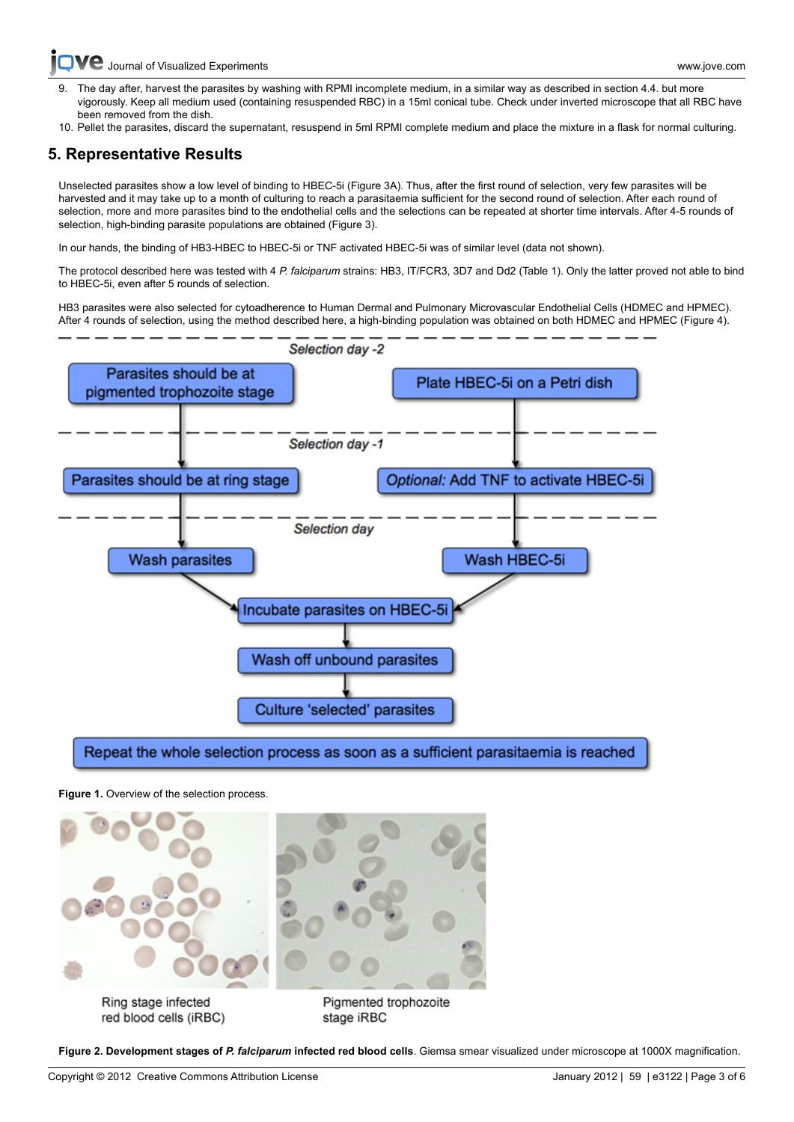[Journal of Visualized Experiments www.jove.com](http://www.jove.com)

- The day after, harvest the parasites by washing with RPMI incomplete medium, in a similar way as described in section 4.4. but more vigorously. Keep all medium used (containing resuspended RBC) in a 15ml conical tube. Check under inverted microscope that all RBC have been removed from the dish.
- 10. Pellet the parasites, discard the supernatant, resuspend in 5ml RPMI complete medium and place the mixture in a flask for normal culturing.

## **5. Representative Results**

Unselected parasites show a low level of binding to HBEC-5i (Figure 3A). Thus, after the first round of selection, very few parasites will be harvested and it may take up to a month of culturing to reach a parasitaemia sufficient for the second round of selection. After each round of selection, more and more parasites bind to the endothelial cells and the selections can be repeated at shorter time intervals. After 4-5 rounds of selection, high-binding parasite populations are obtained (Figure 3).

In our hands, the binding of HB3-HBEC to HBEC-5i or TNF activated HBEC-5i was of similar level (data not shown).

The protocol described here was tested with 4 *P. falciparum* strains: HB3, IT/FCR3, 3D7 and Dd2 (Table 1). Only the latter proved not able to bind to HBEC-5i, even after 5 rounds of selection.

HB3 parasites were also selected for cytoadherence to Human Dermal and Pulmonary Microvascular Endothelial Cells (HDMEC and HPMEC). After 4 rounds of selection, using the method described here, a high-binding population was obtained on both HDMEC and HPMEC (Figure 4).



**Figure 1.** Overview of the selection process.



red blood cells (iRBC)

stage iRBC

**Figure 2. Development stages of** *P. falciparum* **infected red blood cells**. Giemsa smear visualized under microscope at 1000X magnification.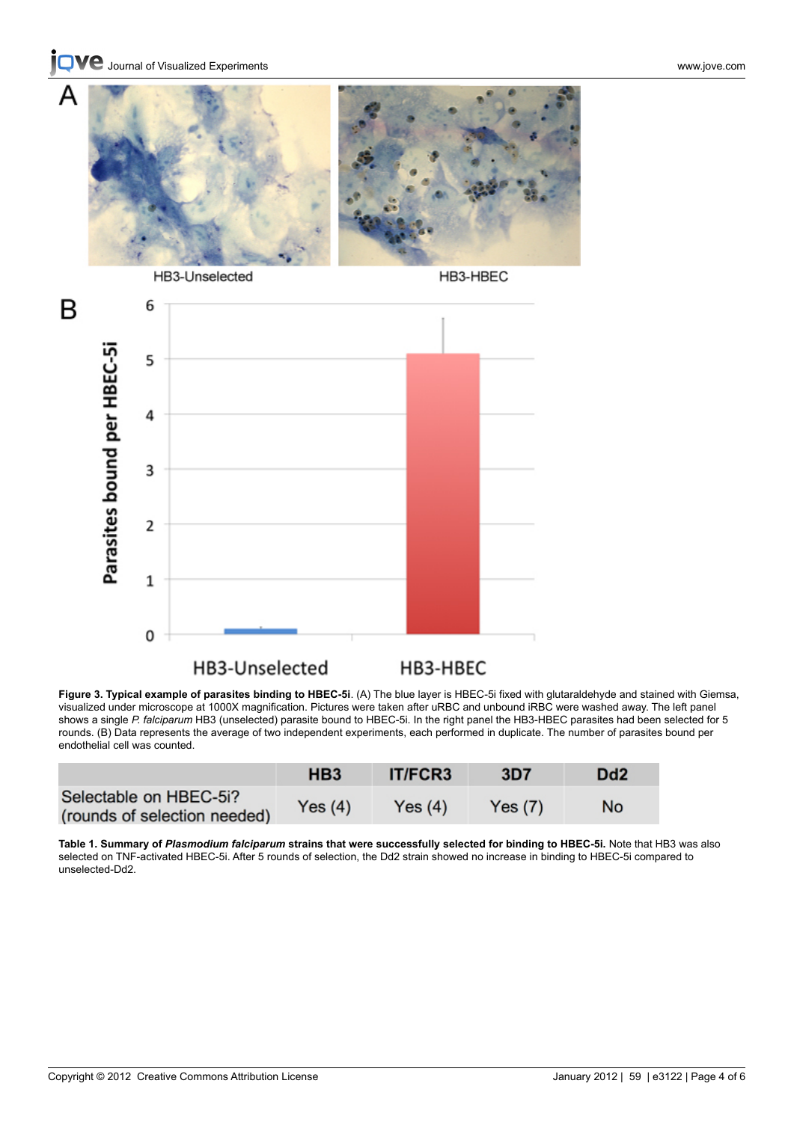**C** [Journal of Visualized Experiments www.jove.com](http://www.jove.com)

A



HB3-Unselected

HB3-HBEC



**Figure 3. Typical example of parasites binding to HBEC-5i**. (A) The blue layer is HBEC-5i fixed with glutaraldehyde and stained with Giemsa, visualized under microscope at 1000X magnification. Pictures were taken after uRBC and unbound iRBC were washed away. The left panel shows a single *P. falciparum* HB3 (unselected) parasite bound to HBEC-5i. In the right panel the HB3-HBEC parasites had been selected for 5 rounds. (B) Data represents the average of two independent experiments, each performed in duplicate. The number of parasites bound per endothelial cell was counted.

|                                                        | HB <sub>3</sub> | <b>IT/FCR3</b> | 3D7    | D <sub>d</sub> 2 |
|--------------------------------------------------------|-----------------|----------------|--------|------------------|
| Selectable on HBEC-5i?<br>(rounds of selection needed) | Yes (4)         | Yes(4)         | Yes(7) | No               |

**Table 1. Summary of** *Plasmodium falciparum* **strains that were successfully selected for binding to HBEC-5i.** Note that HB3 was also selected on TNF-activated HBEC-5i. After 5 rounds of selection, the Dd2 strain showed no increase in binding to HBEC-5i compared to unselected-Dd2.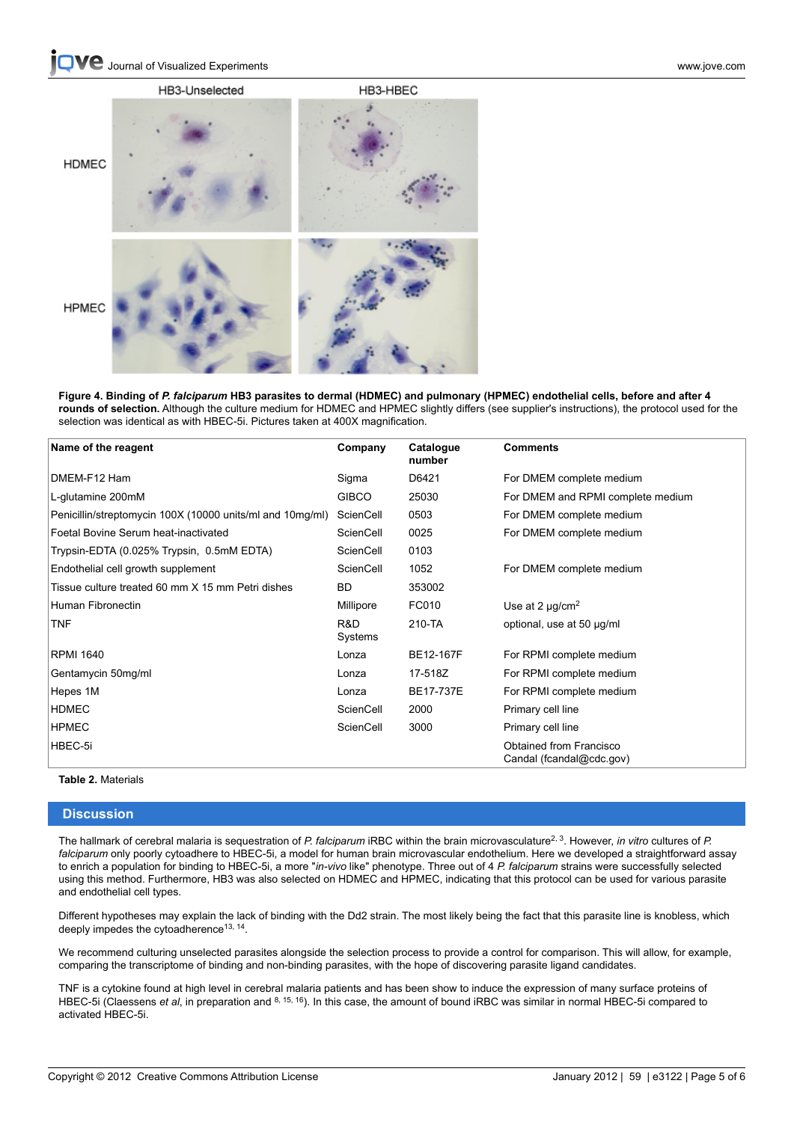

**Figure 4. Binding of** *P. falciparum* **HB3 parasites to dermal (HDMEC) and pulmonary (HPMEC) endothelial cells, before and after 4 rounds of selection.** Although the culture medium for HDMEC and HPMEC slightly differs (see supplier's instructions), the protocol used for the selection was identical as with HBEC-5i. Pictures taken at 400X magnification.

| Name of the reagent                                       | Company        | Catalogue<br>number | <b>Comments</b>                                     |
|-----------------------------------------------------------|----------------|---------------------|-----------------------------------------------------|
| DMEM-F12 Ham                                              | Sigma          | D6421               | For DMEM complete medium                            |
| L-glutamine 200mM                                         | <b>GIBCO</b>   | 25030               | For DMEM and RPMI complete medium                   |
| Penicillin/streptomycin 100X (10000 units/ml and 10mg/ml) | ScienCell      | 0503                | For DMEM complete medium                            |
| Foetal Bovine Serum heat-inactivated                      | ScienCell      | 0025                | For DMEM complete medium                            |
| Trypsin-EDTA (0.025% Trypsin, 0.5mM EDTA)                 | ScienCell      | 0103                |                                                     |
| Endothelial cell growth supplement                        | ScienCell      | 1052                | For DMEM complete medium                            |
| Tissue culture treated 60 mm X 15 mm Petri dishes         | <b>BD</b>      | 353002              |                                                     |
| Human Fibronectin                                         | Millipore      | FC010               | Use at 2 $\mu$ g/cm <sup>2</sup>                    |
| <b>TNF</b>                                                | R&D<br>Systems | 210-TA              | optional, use at 50 µg/ml                           |
| <b>RPMI 1640</b>                                          | Lonza          | BE12-167F           | For RPMI complete medium                            |
| Gentamycin 50mg/ml                                        | Lonza          | 17-518Z             | For RPMI complete medium                            |
| Hepes 1M                                                  | Lonza          | BE17-737E           | For RPMI complete medium                            |
| <b>HDMEC</b>                                              | ScienCell      | 2000                | Primary cell line                                   |
| <b>HPMEC</b>                                              | ScienCell      | 3000                | Primary cell line                                   |
| HBEC-5i                                                   |                |                     | Obtained from Francisco<br>Candal (fcandal@cdc.gov) |

### **Table 2.** Materials

#### **Discussion**

The hallmark of cerebral malaria is sequestration of *P. falciparum* iRBC within the brain microvasculature<sup>2, 3</sup>. However, *in vitro* cultures of *P. falciparum* only poorly cytoadhere to HBEC-5i, a model for human brain microvascular endothelium. Here we developed a straightforward assay to enrich a population for binding to HBEC-5i, a more "*in-vivo* like" phenotype. Three out of 4 *P. falciparum* strains were successfully selected using this method. Furthermore, HB3 was also selected on HDMEC and HPMEC, indicating that this protocol can be used for various parasite and endothelial cell types.

Different hypotheses may explain the lack of binding with the Dd2 strain. The most likely being the fact that this parasite line is knobless, which deeply impedes the cytoadherence<sup>13, 14</sup>.

We recommend culturing unselected parasites alongside the selection process to provide a control for comparison. This will allow, for example, comparing the transcriptome of binding and non-binding parasites, with the hope of discovering parasite ligand candidates.

TNF is a cytokine found at high level in cerebral malaria patients and has been show to induce the expression of many surface proteins of HBEC-5i (Claessens *et al*, in preparation and 8, 15, 16). In this case, the amount of bound iRBC was similar in normal HBEC-5i compared to activated HBEC-5i.